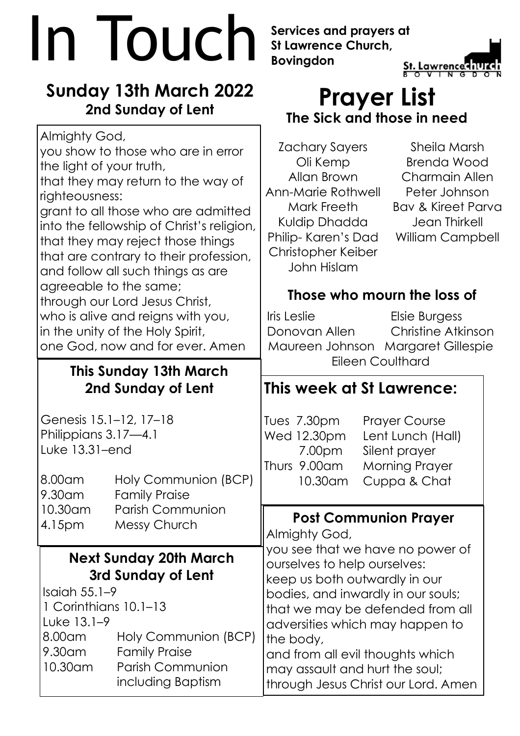# **In Touch** Services and prayers at<br>Bovingdon<br>Bovingdon<br>Bovingdon<br>Boving the Service of the St. Lawrence of the St. Lawrence of the St. Lawrence of the St. Lawrence of the St.

# **Sunday 13th March 2022 2nd Sunday of Lent**

you show to those who are in error

that they may return to the way of

grant to all those who are admitted into the fellowship of Christ's religion,

that they may reject those things that are contrary to their profession,

and follow all such things as are

who is alive and reigns with you,

through our Lord Jesus Christ,

in the unity of the Holy Spirit,

agreeable to the same;

**This Sunday 13th March 2nd Sunday of Lent**

one God, now and for ever. Amen

8.00am Holy Communion (BCP)

10.30am Parish Communion

Genesis 15.1–12, 17–18 Philippians 3.17—4.1

9.30am Family Praise

4.15pm Messy Church

Luke 13.31–end

Almighty God,

righteousness:

the light of your truth,

**St Lawrence Church, Bovingdon**



# **Prayer List The Sick and those in need**

Zachary Sayers Oli Kemp Allan Brown Ann-Marie Rothwell Mark Freeth Kuldip Dhadda Philip- Karen's Dad Christopher Keiber John Hislam

Sheila Marsh Brenda Wood Charmain Allen Peter Johnson Bav & Kireet Parva Jean Thirkell William Campbell

## **Those who mourn the loss of**

Iris Leslie Elsie Burgess Donovan Allen Christine Atkinson Maureen Johnson Margaret Gillespie Eileen Coulthard

# **This week at St Lawrence:**

Tues 7.30pm Prayer Course Wed 12.30pm Lent Lunch (Hall) 7.00pm Silent prayer Thurs 9.00am Morning Prayer 10.30am Cuppa & Chat

### **Post Communion Prayer**

Almighty God,

**Next Sunday 20th March 3rd Sunday of Lent** Isaiah 55.1–9 1 Corinthians 10.1–13 Luke 13.1–9 8.00am Holy Communion (BCP) 9.30am Family Praise 10.30am Parish Communion including Baptism you see that we have no power of ourselves to help ourselves: keep us both outwardly in our bodies, and inwardly in our souls; that we may be defended from all adversities which may happen to the body, and from all evil thoughts which may assault and hurt the soul; through Jesus Christ our Lord. Amen